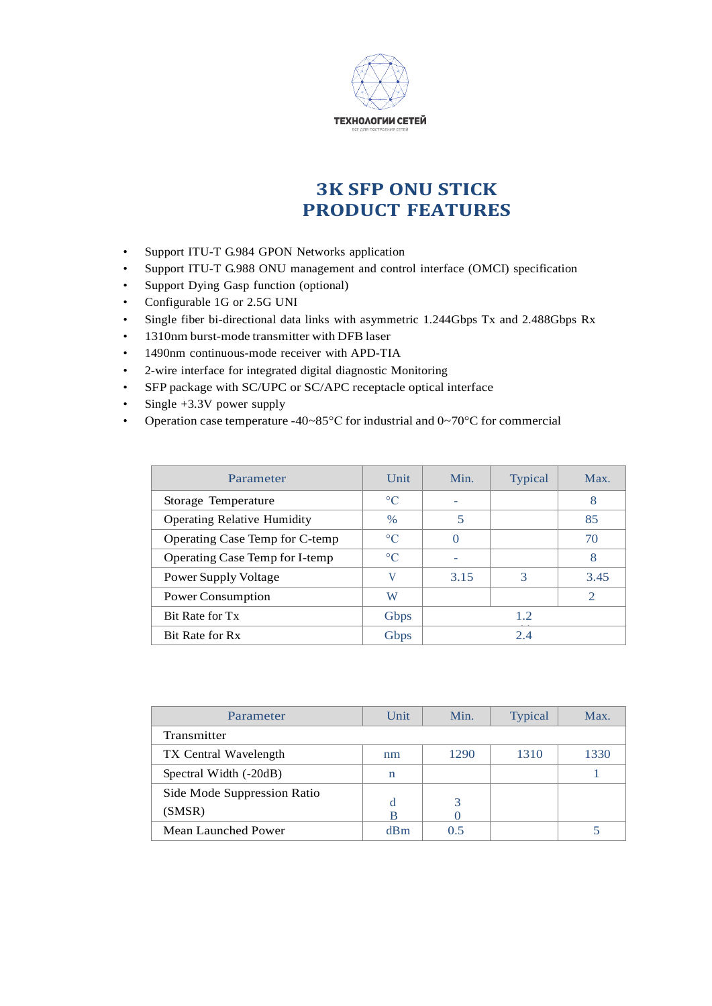

## **3K SFP ONU STICK PRODUCT FEATURES**

- Support ITU-T G.984 GPON Networks application
- Support ITU-T G.988 ONU management and control interface (OMCI) specification
- Support Dying Gasp function (optional)
- Configurable 1G or 2.5G UNI
- Single fiber bi-directional data links with asymmetric 1.244Gbps Tx and 2.488Gbps Rx
- 1310nm burst-mode transmitter with DFB laser
- 1490nm continuous-mode receiver with APD-TIA
- 2-wire interface for integrated digital diagnostic Monitoring
- SFP package with SC/UPC or SC/APC receptacle optical interface
- Single +3.3V power supply
- Operation case temperature -40~85°C for industrial and 0~70°C for commercial

| Parameter                             | Unit        | Min.     | <b>Typical</b> | Max.                        |
|---------------------------------------|-------------|----------|----------------|-----------------------------|
| Storage Temperature                   | $\circ$ C   |          |                | 8                           |
| <b>Operating Relative Humidity</b>    | $\%$        | 5        |                | 85                          |
| <b>Operating Case Temp for C-temp</b> | $\circ$ C   | $\theta$ |                | 70                          |
| <b>Operating Case Temp for I-temp</b> | $\circ$ C   |          |                | 8                           |
| <b>Power Supply Voltage</b>           | V           | 3.15     | 3              | 3.45                        |
| Power Consumption                     | W           |          |                | $\mathcal{D}_{\mathcal{L}}$ |
| Bit Rate for Tx                       | Gbps        |          | 1.2.           |                             |
| Bit Rate for Rx                       | <b>Gbps</b> |          | 2.4            |                             |
|                                       |             |          |                |                             |

| Parameter                             | Unit   | Min. | <b>Typical</b> | Max. |
|---------------------------------------|--------|------|----------------|------|
| Transmitter                           |        |      |                |      |
| TX Central Wavelength                 | nm     | 1290 | 1310           | 1330 |
| Spectral Width (-20dB)                | n      |      |                |      |
| Side Mode Suppression Ratio<br>(SMSR) | d<br>в | 3    |                |      |
| Mean Launched Power                   | dBm    | 0.5  |                |      |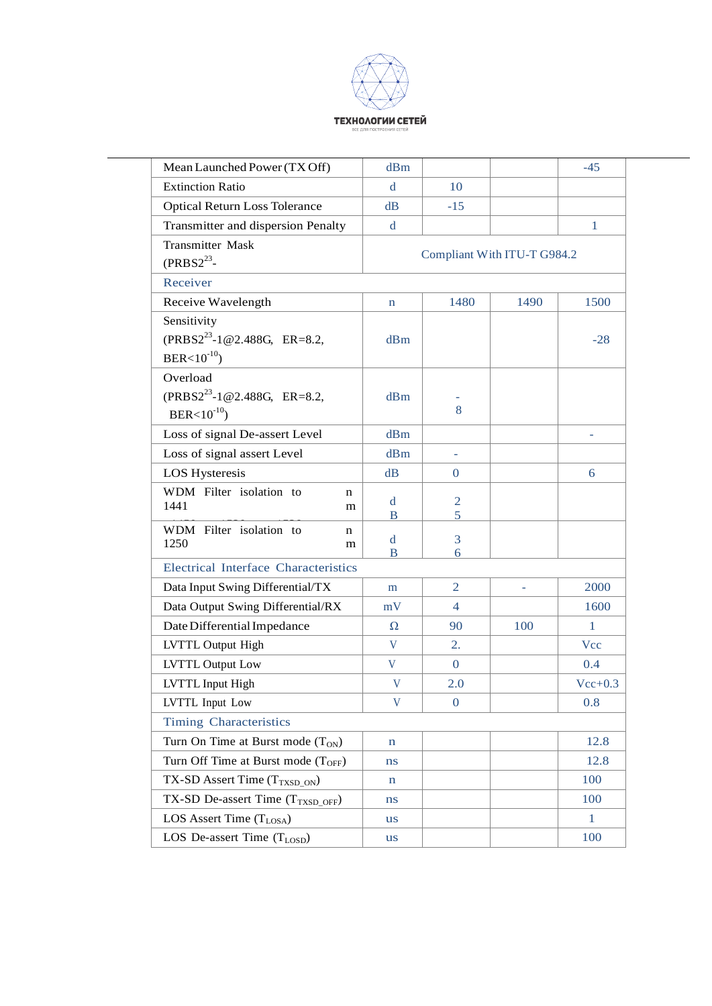

| Mean Launched Power (TX Off)                                      | dBm                         |                     |      | $-45$      |  |  |
|-------------------------------------------------------------------|-----------------------------|---------------------|------|------------|--|--|
| <b>Extinction Ratio</b>                                           | d                           | 10                  |      |            |  |  |
| <b>Optical Return Loss Tolerance</b>                              | dB                          | $-15$               |      |            |  |  |
| Transmitter and dispersion Penalty                                | $\mathbf d$                 |                     |      | 1          |  |  |
| <b>Transmitter Mask</b><br>$(PRBS223 -$                           | Compliant With ITU-T G984.2 |                     |      |            |  |  |
| Receiver                                                          |                             |                     |      |            |  |  |
| Receive Wavelength                                                | $\mathbf n$                 | 1480                | 1490 | 1500       |  |  |
| Sensitivity<br>$(PRBS223 - 1@2.488G, ER=8.2,$<br>$BER < 10^{-10}$ | dBm                         |                     |      | $-28$      |  |  |
| Overload<br>$(PRBS2^{23} - 1@2.488G, ER=8.2,$<br>$BER < 10^{-10}$ | dBm                         | 8                   |      |            |  |  |
| Loss of signal De-assert Level                                    | dBm                         |                     |      |            |  |  |
| Loss of signal assert Level                                       | dBm                         |                     |      |            |  |  |
| <b>LOS Hysteresis</b>                                             | dB                          | 0                   |      | 6          |  |  |
| WDM Filter isolation to<br>n<br>1441<br>m                         | $\mathbf d$<br>B            | $\overline{2}$<br>5 |      |            |  |  |
| WDM Filter isolation to<br>n<br>1250<br>m                         | $\mathbf d$<br>B            | 3<br>6              |      |            |  |  |
| Electrical Interface Characteristics                              |                             |                     |      |            |  |  |
| Data Input Swing Differential/TX                                  | m                           | $\overline{2}$      |      | 2000       |  |  |
| Data Output Swing Differential/RX                                 | mV                          | $\overline{4}$      |      | 1600       |  |  |
| Date Differential Impedance                                       | Ω                           | 90                  | 100  | 1          |  |  |
| <b>LVTTL Output High</b>                                          | V                           | 2.                  |      | <b>Vcc</b> |  |  |
| <b>LVTTL Output Low</b>                                           | V                           | $\Omega$            |      | 0.4        |  |  |
| <b>LVTTL</b> Input High                                           | V                           | 2.0                 |      | $Vec+0.3$  |  |  |
| LVTTL Input Low                                                   | V                           | 0                   |      | 0.8        |  |  |
| <b>Timing Characteristics</b>                                     |                             |                     |      |            |  |  |
| Turn On Time at Burst mode $(T_{ON})$                             | n                           |                     |      | 12.8       |  |  |
| Turn Off Time at Burst mode $(TOFF)$                              | ns                          |                     |      | 12.8       |  |  |
| TX-SD Assert Time $(T_{TXSD ON})$                                 | n                           |                     |      | 100        |  |  |
| TX-SD De-assert Time $(T_{TXSD \t{OFF}})$                         | ns                          |                     |      | 100        |  |  |
| LOS Assert Time $(T_{\text{LOSA}})$                               | us                          |                     |      | 1          |  |  |
| LOS De-assert Time $(T_{\text{LOSD}})$                            | us                          |                     |      | 100        |  |  |